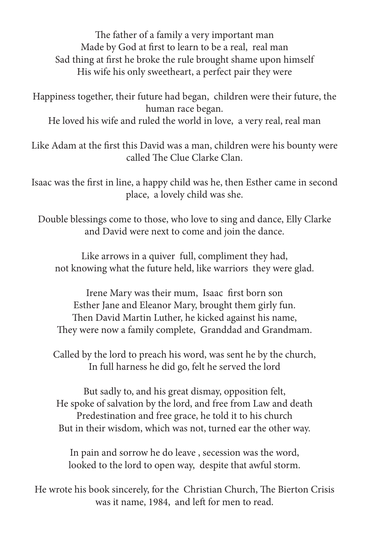The father of a family a very important man Made by God at first to learn to be a real, real man Sad thing at first he broke the rule brought shame upon himself His wife his only sweetheart, a perfect pair they were

Happiness together, their future had began, children were their future, the human race began.

He loved his wife and ruled the world in love, a very real, real man

Like Adam at the first this David was a man, children were his bounty were called The Clue Clarke Clan.

Isaac was the first in line, a happy child was he, then Esther came in second place, a lovely child was she.

Double blessings come to those, who love to sing and dance, Elly Clarke and David were next to come and join the dance.

Like arrows in a quiver full, compliment they had, not knowing what the future held, like warriors they were glad.

Irene Mary was their mum, Isaac first born son Esther Jane and Eleanor Mary, brought them girly fun. Then David Martin Luther, he kicked against his name, They were now a family complete, Granddad and Grandmam.

Called by the lord to preach his word, was sent he by the church, In full harness he did go, felt he served the lord

But sadly to, and his great dismay, opposition felt, He spoke of salvation by the lord, and free from Law and death Predestination and free grace, he told it to his church But in their wisdom, which was not, turned ear the other way.

In pain and sorrow he do leave , secession was the word, looked to the lord to open way, despite that awful storm.

He wrote his book sincerely, for the Christian Church, The Bierton Crisis was it name, 1984, and left for men to read.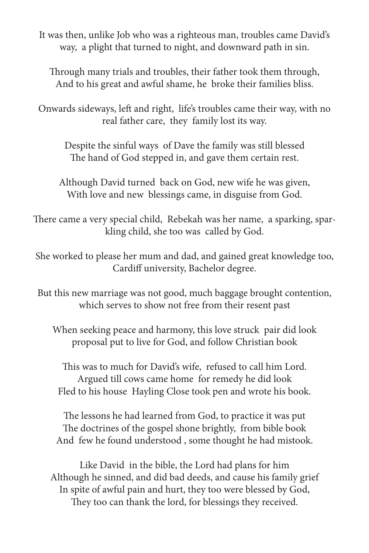It was then, unlike Job who was a righteous man, troubles came David's way, a plight that turned to night, and downward path in sin.

Through many trials and troubles, their father took them through, And to his great and awful shame, he broke their families bliss.

Onwards sideways, left and right, life's troubles came their way, with no real father care, they family lost its way.

Despite the sinful ways of Dave the family was still blessed The hand of God stepped in, and gave them certain rest.

Although David turned back on God, new wife he was given, With love and new blessings came, in disguise from God.

There came a very special child, Rebekah was her name, a sparking, sparkling child, she too was called by God.

She worked to please her mum and dad, and gained great knowledge too, Cardiff university, Bachelor degree.

But this new marriage was not good, much baggage brought contention, which serves to show not free from their resent past

When seeking peace and harmony, this love struck pair did look proposal put to live for God, and follow Christian book

This was to much for David's wife, refused to call him Lord. Argued till cows came home for remedy he did look Fled to his house Hayling Close took pen and wrote his book.

The lessons he had learned from God, to practice it was put The doctrines of the gospel shone brightly, from bible book And few he found understood , some thought he had mistook.

Like David in the bible, the Lord had plans for him Although he sinned, and did bad deeds, and cause his family grief In spite of awful pain and hurt, they too were blessed by God, They too can thank the lord, for blessings they received.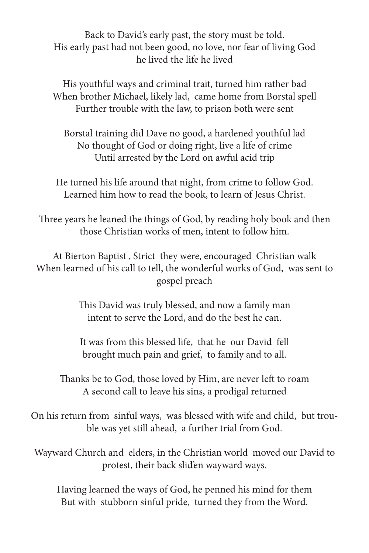Back to David's early past, the story must be told. His early past had not been good, no love, nor fear of living God he lived the life he lived

His youthful ways and criminal trait, turned him rather bad When brother Michael, likely lad, came home from Borstal spell Further trouble with the law, to prison both were sent

Borstal training did Dave no good, a hardened youthful lad No thought of God or doing right, live a life of crime Until arrested by the Lord on awful acid trip

He turned his life around that night, from crime to follow God. Learned him how to read the book, to learn of Jesus Christ.

Three years he leaned the things of God, by reading holy book and then those Christian works of men, intent to follow him.

At Bierton Baptist , Strict they were, encouraged Christian walk When learned of his call to tell, the wonderful works of God, was sent to gospel preach

> This David was truly blessed, and now a family man intent to serve the Lord, and do the best he can.

> It was from this blessed life, that he our David fell brought much pain and grief, to family and to all.

Thanks be to God, those loved by Him, are never left to roam A second call to leave his sins, a prodigal returned

On his return from sinful ways, was blessed with wife and child, but trouble was yet still ahead, a further trial from God.

Wayward Church and elders, in the Christian world moved our David to protest, their back slid'en wayward ways.

Having learned the ways of God, he penned his mind for them But with stubborn sinful pride, turned they from the Word.